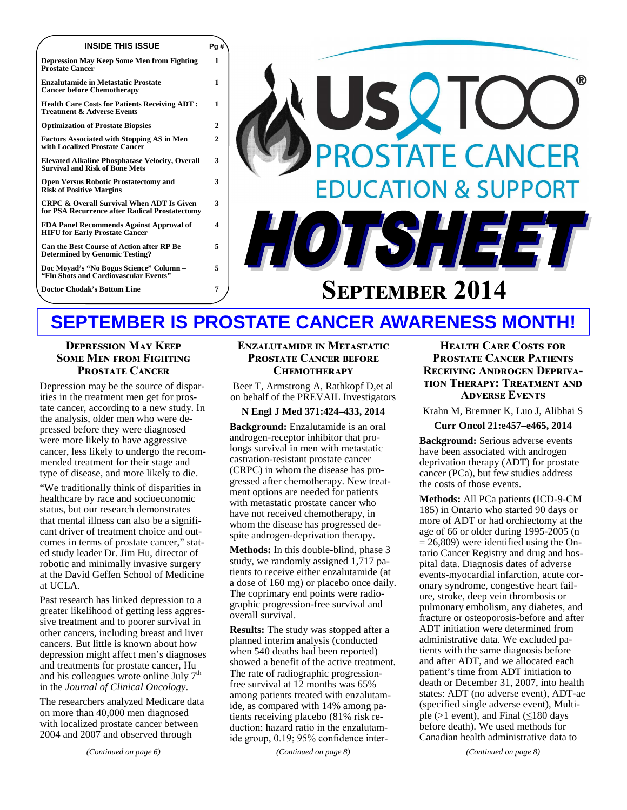| <b>INSIDE THIS ISSUE</b>                                                                               | Pa#                         |
|--------------------------------------------------------------------------------------------------------|-----------------------------|
| <b>Depression May Keep Some Men from Fighting</b><br><b>Prostate Cancer</b>                            | 1                           |
| <b>Enzalutamide in Metastatic Prostate</b><br><b>Cancer before Chemotherapy</b>                        | 1                           |
| <b>Health Care Costs for Patients Receiving ADT:</b><br><b>Treatment &amp; Adverse Events</b>          | 1                           |
| <b>Optimization of Prostate Biopsies</b>                                                               | $\mathcal{D}_{\mathcal{L}}$ |
| <b>Factors Associated with Stopping AS in Men</b><br>with Localized Prostate Cancer                    | $\mathbf{2}$                |
| <b>Elevated Alkaline Phosphatase Velocity, Overall</b><br><b>Survival and Risk of Bone Mets</b>        | 3                           |
| <b>Open Versus Robotic Prostatectomy and</b><br><b>Risk of Positive Margins</b>                        | 3                           |
| <b>CRPC &amp; Overall Survival When ADT Is Given</b><br>for PSA Recurrence after Radical Prostatectomy | 3                           |
| <b>FDA Panel Recommends Against Approval of</b><br><b>HIFU for Early Prostate Cancer</b>               | 4                           |
| <b>Can the Best Course of Action after RP Be</b><br><b>Determined by Genomic Testing?</b>              | 5                           |
| Doc Movad's "No Bogus Science" Column -<br>"Flu Shots and Cardiovascular Events"                       | 5                           |
| <b>Doctor Chodak's Bottom Line</b>                                                                     | 7                           |



# **SEPTEMBER IS PROSTATE CANCER AWARENESS MONTH!**

## **DEPRESSION MAY KEEP Some Men from Fighting PROSTATE CANCER**

Depression may be the source of disparities in the treatment men get for prostate cancer, according to a new study. In the analysis, older men who were depressed before they were diagnosed were more likely to have aggressive cancer, less likely to undergo the recommended treatment for their stage and type of disease, and more likely to die.

"We traditionally think of disparities in healthcare by race and socioeconomic status, but our research demonstrates that mental illness can also be a significant driver of treatment choice and outcomes in terms of prostate cancer," stated study leader Dr. Jim Hu, director of robotic and minimally invasive surgery at the David Geffen School of Medicine at UCLA.

Past research has linked depression to a greater likelihood of getting less aggressive treatment and to poorer survival in other cancers, including breast and liver cancers. But little is known about how depression might affect men's diagnoses and treatments for prostate cancer, Hu and his colleagues wrote online July  $7<sup>th</sup>$ in the *Journal of Clinical Oncology*.

The researchers analyzed Medicare data on more than 40,000 men diagnosed with localized prostate cancer between 2004 and 2007 and observed through

## **ENZALUTAMIDE IN METASTATIC** PROSTATE CANCER BEFORE CHEMOTHERAPY

Beer T, Armstrong A, Rathkopf D,et al on behalf of the PREVAIL Investigators

### **N Engl J Med 371:424–433, 2014**

**Background:** Enzalutamide is an oral androgen-receptor inhibitor that prolongs survival in men with metastatic castration-resistant prostate cancer (CRPC) in whom the disease has progressed after chemotherapy. New treatment options are needed for patients with metastatic prostate cancer who have not received chemotherapy, in whom the disease has progressed despite androgen-deprivation therapy.

**Methods:** In this double-blind, phase 3 study, we randomly assigned 1,717 patients to receive either enzalutamide (at a dose of 160 mg) or placebo once daily. The coprimary end points were radiographic progression-free survival and overall survival.

**Results:** The study was stopped after a planned interim analysis (conducted when 540 deaths had been reported) showed a benefit of the active treatment. The rate of radiographic progressionfree survival at 12 months was 65% among patients treated with enzalutamide, as compared with 14% among patients receiving placebo (81% risk reduction; hazard ratio in the enzalutamide group, 0.19; 95% confidence inter-

*(Continued on page 8)* 

**HEALTH CARE COSTS FOR PROSTATE CANCER PATIENTS RECEIVING ANDROGEN DEPRIVA-TION THERAPY: TREATMENT AND ADVERSE EVENTS** 

Krahn M, Bremner K, Luo J, Alibhai S

### **Curr Oncol 21:e457–e465, 2014**

**Background:** Serious adverse events have been associated with androgen deprivation therapy (ADT) for prostate cancer (PCa), but few studies address the costs of those events.

**Methods:** All PCa patients (ICD-9-CM 185) in Ontario who started 90 days or more of ADT or had orchiectomy at the age of 66 or older during 1995-2005 (n  $= 26,809$ ) were identified using the Ontario Cancer Registry and drug and hospital data. Diagnosis dates of adverse events-myocardial infarction, acute coronary syndrome, congestive heart failure, stroke, deep vein thrombosis or pulmonary embolism, any diabetes, and fracture or osteoporosis-before and after ADT initiation were determined from administrative data. We excluded patients with the same diagnosis before and after ADT, and we allocated each patient's time from ADT initiation to death or December 31, 2007, into health states: ADT (no adverse event), ADT-ae (specified single adverse event), Multiple ( $>1$  event), and Final ( $\leq 180$  days before death). We used methods for Canadian health administrative data to

*(Continued on page 8)*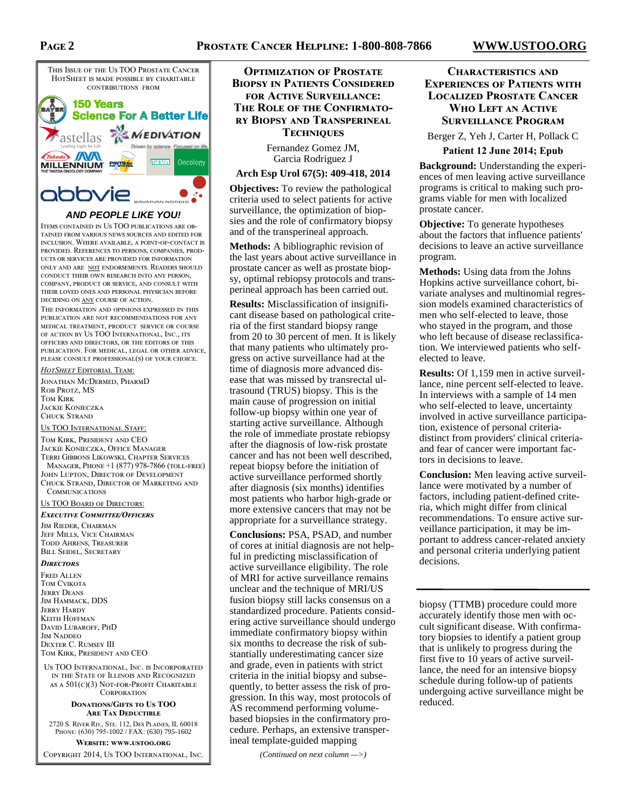# **PAGE 2**



## **AND PEOPLE LIKE YOU!**

ITEMS CONTAINED IN US TOO PUBLICATIONS ARE OB-TAINED FROM VARIOUS NEWS SOURCES AND EDITED FOR INCLUSION. WHERE AVAILABLE, A POINT-OF-CONTACT IS PROVIDED. REFERENCES TO PERSONS. COMPANIES. PROD-UCTS OR SERVICES ARE PROVIDED FOR INFORMATION ONLY AND ARE NOT ENDORSEMENTS. READERS SHOULD CONDUCT THEIR OWN RESEARCH INTO ANY PERSON, COMPANY, PRODUCT OR SERVICE, AND CONSULT WITH THEIR LOVED ONES AND PERSONAL PHYSICIAN BEFORE DECIDING ON  $\underline{\text{ANY}}$  COURSE OF ACTION.

THE INFORMATION AND OPINIONS EXPRESSED IN THIS PUBLICATION ARE NOT RECOMMENDATIONS FOR ANY MEDICAL TREATMENT, PRODUCT SERVICE OR COURSE OF ACTION BY US TOO INTERNATIONAL, INC., ITS OFFICERS AND DIRECTORS, OR THE EDITORS OF THIS PUBLICATION. FOR MEDICAL, LEGAL OR OTHER ADVICE, PLEASE CONSULT PROFESSIONAL(S) OF YOUR CHOICE.

#### *HotSheet* Editorial Team:

JONATHAN MCDERMED. PHARMD ROB PROTZ, MS TOM KIRK JACKIE KONIECZKA CHUCK STRAND

US TOO INTERNATIONAL STAFF. TOM KIRK, PRESIDENT AND CEO JACKIE KONIECZKA, OFFICE MANAGER TERRI GIBBONS LIKOWSKI, CHAPTER SERVICES MANAGER, PHONE +1 (877) 978-7866 (TOLL-FREE)

JOHN LUPTON, DIRECTOR OF DEVELOPMENT CHUCK STRAND, DIRECTOR OF MARKETING AND COMMUNICATIONS

US TOO BOARD OF DIRECTORS:

#### Executive Committee/Officers

JIM RIEDER, CHAIRMAN JEFF MILLS, VICE CHAIRMAN TODD AHRENS, TREASURER BILL SEIDEL, SECRETARY

#### **DIRECTORS**

FRED ALLEN TOM CVIKOTA **JERRY DEANS** JIM HAMMACK, DDS **JERRY HARDY** KEITH HOFFMAN DAVID LUBAROFF, PHD **IM NADDEO** DEXTER C. RUMSEY III TOM KIRK, PRESIDENT AND CEO

US TOO INTERNATIONAL, INC. IS INCORPORATED IN THE STATE OF ILLINOIS AND RECOGNIZED AS A  $501(c)(3)$  NOT-FOR-PROFIT CHARITABLE CORPORATION

#### **DONATIONS/GIFTS TO US TOO ARE TAX DEDUCTIBLE**

2720 S. RIVER RD., STE. 112, DES PLAINES, IL 60018 PHONE: (630) 795-1002 / FAX: (630) 795-1602

**WEBSITE: WWW.USTOO.ORG** COPYRIGHT 2014, US TOO INTERNATIONAL, INC.

## **OPTIMIZATION OF PROSTATE BIOPSY IN PATIENTS CONSIDERED FOR ACTIVE SURVEILLANCE: THE ROLE OF THE CONFIRMATO-RY BIOPSY AND TRANSPERINEAL TECHNIQUES**

Fernandez Gomez JM, Garcia Rodriguez J

## **Arch Esp Urol 67(5): 409-418, 2014**

**Objectives:** To review the pathological criteria used to select patients for active surveillance, the optimization of biopsies and the role of confirmatory biopsy and of the transperineal approach.

**Methods:** A bibliographic revision of the last years about active surveillance in prostate cancer as well as prostate biopsy, optimal rebiopsy protocols and transperineal approach has been carried out.

**Results:** Misclassification of insignificant disease based on pathological criteria of the first standard biopsy range from 20 to 30 percent of men. It is likely that many patients who ultimately progress on active surveillance had at the time of diagnosis more advanced disease that was missed by transrectal ultrasound (TRUS) biopsy. This is the main cause of progression on initial follow-up biopsy within one year of starting active surveillance. Although the role of immediate prostate rebiopsy after the diagnosis of low-risk prostate cancer and has not been well described, repeat biopsy before the initiation of active surveillance performed shortly after diagnosis (six months) identifies most patients who harbor high-grade or more extensive cancers that may not be appropriate for a surveillance strategy.

**Conclusions:** PSA, PSAD, and number of cores at initial diagnosis are not helpful in predicting misclassification of active surveillance eligibility. The role of MRI for active surveillance remains unclear and the technique of MRI/US fusion biopsy still lacks consensus on a standardized procedure. Patients considering active surveillance should undergo immediate confirmatory biopsy within six months to decrease the risk of substantially underestimating cancer size and grade, even in patients with strict criteria in the initial biopsy and subsequently, to better assess the risk of progression. In this way, most protocols of AS recommend performing volumebased biopsies in the confirmatory procedure. Perhaps, an extensive transperineal template-guided mapping

*(Continued on next column —>)* 

## **CHARACTERISTICS AND EXPERIENCES OF PATIENTS WITH LOCALIZED PROSTATE CANCER WHO LEFT AN ACTIVE SURVEILLANCE PROGRAM**

Berger Z, Yeh J, Carter H, Pollack C

#### **Patient 12 June 2014; Epub**

**Background:** Understanding the experiences of men leaving active surveillance programs is critical to making such programs viable for men with localized prostate cancer.

**Objective:** To generate hypotheses about the factors that influence patients' decisions to leave an active surveillance program.

**Methods:** Using data from the Johns Hopkins active surveillance cohort, bivariate analyses and multinomial regression models examined characteristics of men who self-elected to leave, those who stayed in the program, and those who left because of disease reclassification. We interviewed patients who selfelected to leave.

**Results:** Of 1,159 men in active surveillance, nine percent self-elected to leave. In interviews with a sample of 14 men who self-elected to leave, uncertainty involved in active surveillance participation, existence of personal criteriadistinct from providers' clinical criteriaand fear of cancer were important factors in decisions to leave.

**Conclusion:** Men leaving active surveillance were motivated by a number of factors, including patient-defined criteria, which might differ from clinical recommendations. To ensure active surveillance participation, it may be important to address cancer-related anxiety and personal criteria underlying patient decisions.

biopsy (TTMB) procedure could more accurately identify those men with occult significant disease. With confirmatory biopsies to identify a patient group that is unlikely to progress during the first five to 10 years of active surveillance, the need for an intensive biopsy schedule during follow-up of patients undergoing active surveillance might be reduced.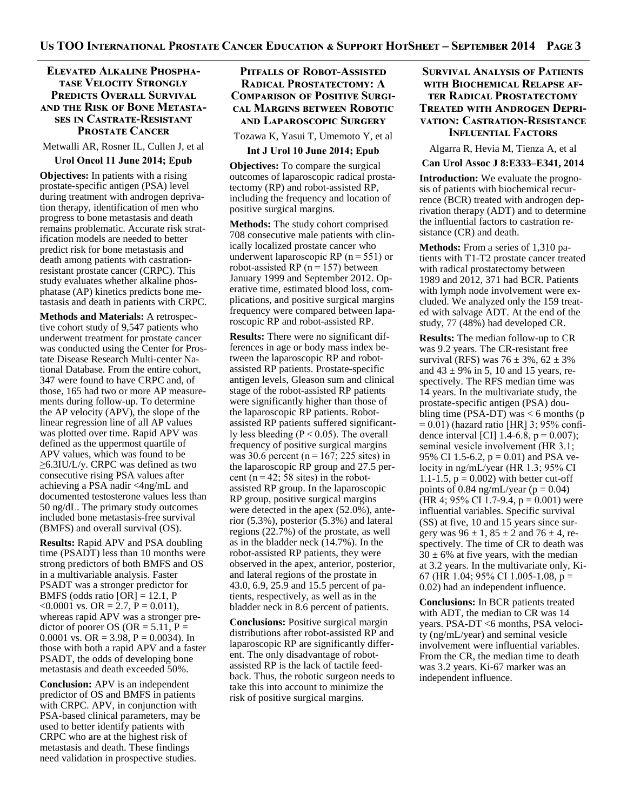## **ELEVATED ALKALINE PHOSPHA-TASE VELOCITY STRONGLY** PREDICTS OVERALL SURVIVAL **AND THE RISK OF BONE METASTA-SES IN CASTRATE-RESISTANT PROSTATE CANCER**

Metwalli AR, Rosner IL, Cullen J, et al

#### **Urol Oncol 11 June 2014; Epub**

**Objectives:** In patients with a rising prostate-specific antigen (PSA) level during treatment with androgen deprivation therapy, identification of men who progress to bone metastasis and death remains problematic. Accurate risk stratification models are needed to better predict risk for bone metastasis and death among patients with castrationresistant prostate cancer (CRPC). This study evaluates whether alkaline phosphatase (AP) kinetics predicts bone metastasis and death in patients with CRPC.

**Methods and Materials:** A retrospective cohort study of 9,547 patients who underwent treatment for prostate cancer was conducted using the Center for Prostate Disease Research Multi-center National Database. From the entire cohort, 347 were found to have CRPC and, of those, 165 had two or more AP measurements during follow-up. To determine the AP velocity (APV), the slope of the linear regression line of all AP values was plotted over time. Rapid APV was defined as the uppermost quartile of APV values, which was found to be ≥6.3IU/L/y. CRPC was defined as two consecutive rising PSA values after achieving a PSA nadir <4ng/mL and documented testosterone values less than 50 ng/dL. The primary study outcomes included bone metastasis-free survival (BMFS) and overall survival (OS).

**Results:** Rapid APV and PSA doubling time (PSADT) less than 10 months were strong predictors of both BMFS and OS in a multivariable analysis. Faster PSADT was a stronger predictor for BMFS (odds ratio  $[OR] = 12.1$ , P  $< 0.0001$  vs. OR = 2.7, P = 0.011), whereas rapid APV was a stronger predictor of poorer OS (OR =  $5.11$ , P = 0.0001 vs. OR =  $3.98$ , P = 0.0034). In those with both a rapid APV and a faster PSADT, the odds of developing bone metastasis and death exceeded 50%.

**Conclusion:** APV is an independent predictor of OS and BMFS in patients with CRPC. APV, in conjunction with PSA-based clinical parameters, may be used to better identify patients with CRPC who are at the highest risk of metastasis and death. These findings need validation in prospective studies.

## PITFALLS OF ROBOT-ASSISTED **RADICAL PROSTATECTOMY: A COMPARISON OF POSITIVE SURGI-CAL MARGINS BETWEEN ROBOTIC** <mark>AND LAPAROSCOPIC SURGERY</mark>

Tozawa K, Yasui T, Umemoto Y, et al

#### **Int J Urol 10 June 2014; Epub**

**Objectives:** To compare the surgical outcomes of laparoscopic radical prostatectomy (RP) and robot-assisted RP, including the frequency and location of positive surgical margins.

**Methods:** The study cohort comprised 708 consecutive male patients with clinically localized prostate cancer who underwent laparoscopic RP ( $n = 551$ ) or robot-assisted RP ( $n = 157$ ) between January 1999 and September 2012. Operative time, estimated blood loss, complications, and positive surgical margins frequency were compared between laparoscopic RP and robot-assisted RP.

**Results:** There were no significant differences in age or body mass index between the laparoscopic RP and robotassisted RP patients. Prostate-specific antigen levels, Gleason sum and clinical stage of the robot-assisted RP patients were significantly higher than those of the laparoscopic RP patients. Robotassisted RP patients suffered significantly less bleeding  $(P < 0.05)$ . The overall frequency of positive surgical margins was 30.6 percent ( $n = 167$ ; 225 sites) in the laparoscopic RP group and 27.5 percent ( $n = 42$ ; 58 sites) in the robotassisted RP group. In the laparoscopic RP group, positive surgical margins were detected in the apex (52.0%), anterior (5.3%), posterior (5.3%) and lateral regions (22.7%) of the prostate, as well as in the bladder neck (14.7%). In the robot-assisted RP patients, they were observed in the apex, anterior, posterior, and lateral regions of the prostate in 43.0, 6.9, 25.9 and 15.5 percent of patients, respectively, as well as in the bladder neck in 8.6 percent of patients.

**Conclusions:** Positive surgical margin distributions after robot-assisted RP and laparoscopic RP are significantly different. The only disadvantage of robotassisted RP is the lack of tactile feedback. Thus, the robotic surgeon needs to take this into account to minimize the risk of positive surgical margins.

## **SURVIVAL ANALYSIS OF PATIENTS WITH BIOCHEMICAL RELAPSE AF-TER RADICAL PROSTATECTOMY TREATED WITH ANDROGEN DEPRI-VATION: CASTRATION-RESISTANCE INFLUENTIAL FACTORS**

Algarra R, Hevia M, Tienza A, et al

**Can Urol Assoc J 8:E333–E341, 2014** 

**Introduction:** We evaluate the prognosis of patients with biochemical recurrence (BCR) treated with androgen deprivation therapy (ADT) and to determine the influential factors to castration resistance (CR) and death.

**Methods:** From a series of 1,310 patients with T1-T2 prostate cancer treated with radical prostatectomy between 1989 and 2012, 371 had BCR. Patients with lymph node involvement were excluded. We analyzed only the 159 treated with salvage ADT. At the end of the study, 77 (48%) had developed CR.

**Results:** The median follow-up to CR was 9.2 years. The CR-resistant free survival (RFS) was  $76 \pm 3\%$ ,  $62 \pm 3\%$ and  $43 \pm 9\%$  in 5, 10 and 15 years, respectively. The RFS median time was 14 years. In the multivariate study, the prostate-specific antigen (PSA) doubling time (PSA-DT) was  $<$  6 months (p  $= 0.01$ ) (hazard ratio [HR] 3; 95% confidence interval [CI] 1.4-6.8,  $p = 0.007$ ); seminal vesicle involvement (HR 3.1; 95% CI 1.5-6.2,  $p = 0.01$ ) and PSA velocity in ng/mL/year (HR 1.3; 95% CI 1.1-1.5,  $p = 0.002$ ) with better cut-off points of 0.84 ng/mL/year ( $p = 0.04$ ) (HR 4; 95% CI 1.7-9.4,  $p = 0.001$ ) were influential variables. Specific survival (SS) at five, 10 and 15 years since surgery was  $96 \pm 1$ ,  $85 \pm 2$  and  $76 \pm 4$ , respectively. The time of CR to death was  $30 \pm 6\%$  at five years, with the median at 3.2 years. In the multivariate only, Ki-67 (HR 1.04; 95% CI 1.005-1.08, p = 0.02) had an independent influence.

**Conclusions:** In BCR patients treated with ADT, the median to CR was 14 years. PSA-DT <6 months, PSA velocity (ng/mL/year) and seminal vesicle involvement were influential variables. From the CR, the median time to death was 3.2 years. Ki-67 marker was an independent influence.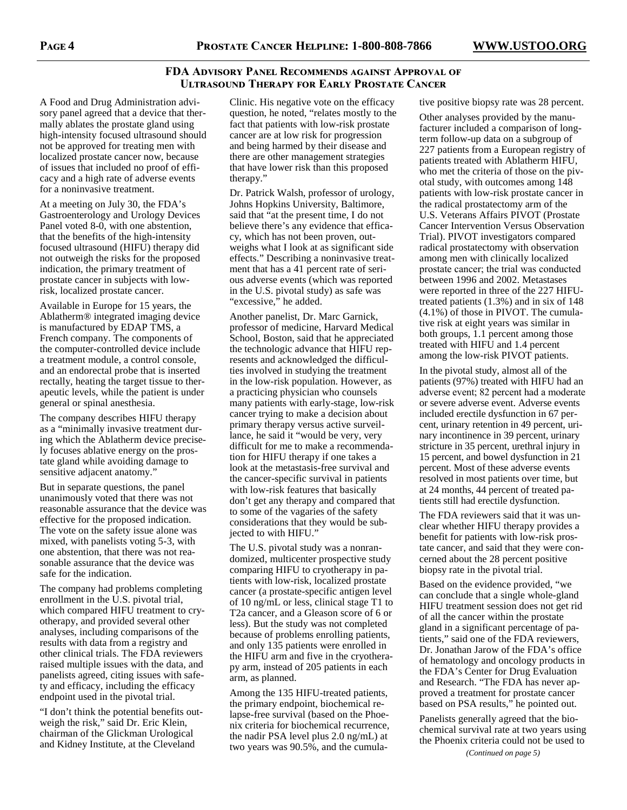## **FDA ADVISORY PANEL RECOMMENDS AGAINST APPROVAL OF** ULTRASOUND THERAPY FOR EARLY PROSTATE CANCER

A Food and Drug Administration advisory panel agreed that a device that thermally ablates the prostate gland using high-intensity focused ultrasound should not be approved for treating men with localized prostate cancer now, because of issues that included no proof of efficacy and a high rate of adverse events for a noninvasive treatment.

At a meeting on July 30, the FDA's Gastroenterology and Urology Devices Panel voted 8-0, with one abstention, that the benefits of the high-intensity focused ultrasound (HIFU) therapy did not outweigh the risks for the proposed indication, the primary treatment of prostate cancer in subjects with lowrisk, localized prostate cancer.

Available in Europe for 15 years, the Ablatherm® integrated imaging device is manufactured by EDAP TMS, a French company. The components of the computer-controlled device include a treatment module, a control console, and an endorectal probe that is inserted rectally, heating the target tissue to therapeutic levels, while the patient is under general or spinal anesthesia.

The company describes HIFU therapy as a "minimally invasive treatment during which the Ablatherm device precisely focuses ablative energy on the prostate gland while avoiding damage to sensitive adjacent anatomy."

But in separate questions, the panel unanimously voted that there was not reasonable assurance that the device was effective for the proposed indication. The vote on the safety issue alone was mixed, with panelists voting 5-3, with one abstention, that there was not reasonable assurance that the device was safe for the indication.

The company had problems completing enrollment in the U.S. pivotal trial, which compared HIFU treatment to cryotherapy, and provided several other analyses, including comparisons of the results with data from a registry and other clinical trials. The FDA reviewers raised multiple issues with the data, and panelists agreed, citing issues with safety and efficacy, including the efficacy endpoint used in the pivotal trial.

"I don't think the potential benefits outweigh the risk," said Dr. Eric Klein, chairman of the Glickman Urological and Kidney Institute, at the Cleveland

Clinic. His negative vote on the efficacy question, he noted, "relates mostly to the fact that patients with low-risk prostate cancer are at low risk for progression and being harmed by their disease and there are other management strategies that have lower risk than this proposed therapy."

Dr. Patrick Walsh, professor of urology, Johns Hopkins University, Baltimore, said that "at the present time, I do not believe there's any evidence that efficacy, which has not been proven, outweighs what I look at as significant side effects." Describing a noninvasive treatment that has a 41 percent rate of serious adverse events (which was reported in the U.S. pivotal study) as safe was "excessive," he added.

Another panelist, Dr. Marc Garnick, professor of medicine, Harvard Medical School, Boston, said that he appreciated the technologic advance that HIFU represents and acknowledged the difficulties involved in studying the treatment in the low-risk population. However, as a practicing physician who counsels many patients with early-stage, low-risk cancer trying to make a decision about primary therapy versus active surveillance, he said it "would be very, very difficult for me to make a recommendation for HIFU therapy if one takes a look at the metastasis-free survival and the cancer-specific survival in patients with low-risk features that basically don't get any therapy and compared that to some of the vagaries of the safety considerations that they would be subjected to with HIFU."

The U.S. pivotal study was a nonrandomized, multicenter prospective study comparing HIFU to cryotherapy in patients with low-risk, localized prostate cancer (a prostate-specific antigen level of 10 ng/mL or less, clinical stage T1 to T2a cancer, and a Gleason score of 6 or less). But the study was not completed because of problems enrolling patients, and only 135 patients were enrolled in the HIFU arm and five in the cryotherapy arm, instead of 205 patients in each arm, as planned.

Among the 135 HIFU-treated patients, the primary endpoint, biochemical relapse-free survival (based on the Phoenix criteria for biochemical recurrence, the nadir PSA level plus 2.0 ng/mL) at two years was 90.5%, and the cumulative positive biopsy rate was 28 percent.

Other analyses provided by the manufacturer included a comparison of longterm follow-up data on a subgroup of 227 patients from a European registry of patients treated with Ablatherm HIFU, who met the criteria of those on the pivotal study, with outcomes among 148 patients with low-risk prostate cancer in the radical prostatectomy arm of the U.S. Veterans Affairs PIVOT (Prostate Cancer Intervention Versus Observation Trial). PIVOT investigators compared radical prostatectomy with observation among men with clinically localized prostate cancer; the trial was conducted between 1996 and 2002. Metastases were reported in three of the 227 HIFUtreated patients (1.3%) and in six of 148 (4.1%) of those in PIVOT. The cumulative risk at eight years was similar in both groups, 1.1 percent among those treated with HIFU and 1.4 percent among the low-risk PIVOT patients.

In the pivotal study, almost all of the patients (97%) treated with HIFU had an adverse event; 82 percent had a moderate or severe adverse event. Adverse events included erectile dysfunction in 67 percent, urinary retention in 49 percent, urinary incontinence in 39 percent, urinary stricture in 35 percent, urethral injury in 15 percent, and bowel dysfunction in 21 percent. Most of these adverse events resolved in most patients over time, but at 24 months, 44 percent of treated patients still had erectile dysfunction.

The FDA reviewers said that it was unclear whether HIFU therapy provides a benefit for patients with low-risk prostate cancer, and said that they were concerned about the 28 percent positive biopsy rate in the pivotal trial.

Based on the evidence provided, "we can conclude that a single whole-gland HIFU treatment session does not get rid of all the cancer within the prostate gland in a significant percentage of patients," said one of the FDA reviewers, Dr. Jonathan Jarow of the FDA's office of hematology and oncology products in the FDA's Center for Drug Evaluation and Research. "The FDA has never approved a treatment for prostate cancer based on PSA results," he pointed out.

Panelists generally agreed that the biochemical survival rate at two years using the Phoenix criteria could not be used to

*(Continued on page 5)*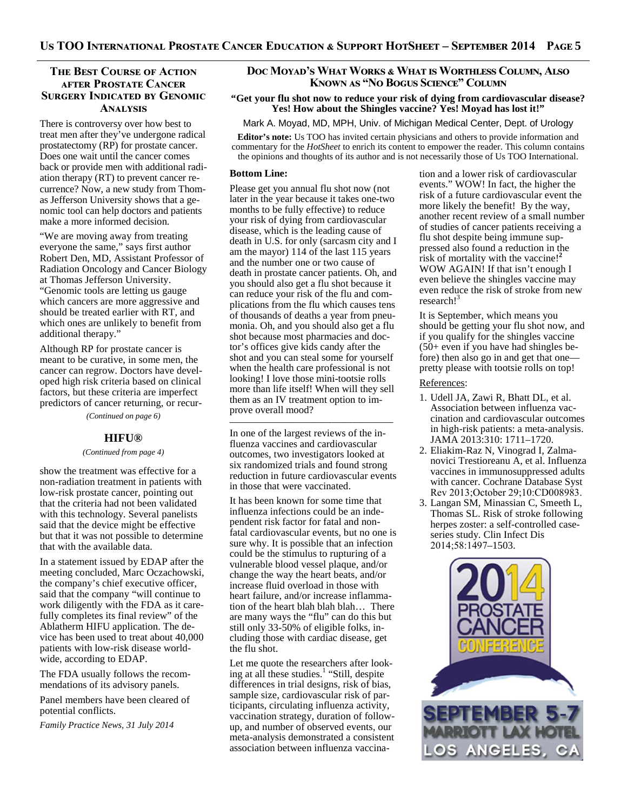## **THE BEST COURSE OF ACTION AFTER PROSTATE CANCER SURGERY INDICATED BY GENOMIC ANALYSIS**

There is controversy over how best to treat men after they've undergone radical prostatectomy (RP) for prostate cancer. Does one wait until the cancer comes back or provide men with additional radiation therapy (RT) to prevent cancer recurrence? Now, a new study from Thomas Jefferson University shows that a genomic tool can help doctors and patients make a more informed decision.

"We are moving away from treating everyone the same," says first author Robert Den, MD, Assistant Professor of Radiation Oncology and Cancer Biology at Thomas Jefferson University. "Genomic tools are letting us gauge which cancers are more aggressive and should be treated earlier with RT, and which ones are unlikely to benefit from additional therapy."

Although RP for prostate cancer is meant to be curative, in some men, the cancer can regrow. Doctors have developed high risk criteria based on clinical factors, but these criteria are imperfect predictors of cancer returning, or recur-

*(Continued on page 6)* 

### **HIFU®**

#### *(Continued from page 4)*

show the treatment was effective for a non-radiation treatment in patients with low-risk prostate cancer, pointing out that the criteria had not been validated with this technology. Several panelists said that the device might be effective but that it was not possible to determine that with the available data.

In a statement issued by EDAP after the meeting concluded, Marc Oczachowski, the company's chief executive officer, said that the company "will continue to work diligently with the FDA as it carefully completes its final review" of the Ablatherm HIFU application. The device has been used to treat about 40,000 patients with low-risk disease worldwide, according to EDAP.

The FDA usually follows the recommendations of its advisory panels.

Panel members have been cleared of potential conflicts.

*Family Practice News, 31 July 2014* 

## Doc Moyad's What Works & What is Worthless Column, Also **KNOWN AS "NO BOGUS SCIENCE" COLUMN**

**"Get your flu shot now to reduce your risk of dying from cardiovascular disease? Yes! How about the Shingles vaccine? Yes! Moyad has lost it!"** 

#### Mark A. Moyad, MD, MPH, Univ. of Michigan Medical Center, Dept. of Urology

**Editor's note:** Us TOO has invited certain physicians and others to provide information and commentary for the *HotSheet* to enrich its content to empower the reader. This column contains the opinions and thoughts of its author and is not necessarily those of Us TOO International.

#### **Bottom Line:**

Please get you annual flu shot now (not later in the year because it takes one-two months to be fully effective) to reduce your risk of dying from cardiovascular disease, which is the leading cause of death in U.S. for only (sarcasm city and I am the mayor) 114 of the last 115 years and the number one or two cause of death in prostate cancer patients. Oh, and you should also get a flu shot because it can reduce your risk of the flu and complications from the flu which causes tens of thousands of deaths a year from pneumonia. Oh, and you should also get a flu shot because most pharmacies and doctor's offices give kids candy after the shot and you can steal some for yourself when the health care professional is not looking! I love those mini-tootsie rolls more than life itself! When will they sell them as an IV treatment option to improve overall mood?

In one of the largest reviews of the influenza vaccines and cardiovascular outcomes, two investigators looked at six randomized trials and found strong reduction in future cardiovascular events in those that were vaccinated.

————————————————

It has been known for some time that influenza infections could be an independent risk factor for fatal and nonfatal cardiovascular events, but no one is sure why. It is possible that an infection could be the stimulus to rupturing of a vulnerable blood vessel plaque, and/or change the way the heart beats, and/or increase fluid overload in those with heart failure, and/or increase inflammation of the heart blah blah blah… There are many ways the "flu" can do this but still only 33-50% of eligible folks, including those with cardiac disease, get the flu shot.

Let me quote the researchers after looking at all these studies.<sup>1</sup> "Still, despite differences in trial designs, risk of bias, sample size, cardiovascular risk of participants, circulating influenza activity, vaccination strategy, duration of followup, and number of observed events, our meta-analysis demonstrated a consistent association between influenza vaccination and a lower risk of cardiovascular events." WOW! In fact, the higher the risk of a future cardiovascular event the more likely the benefit! By the way, another recent review of a small number of studies of cancer patients receiving a flu shot despite being immune suppressed also found a reduction in the risk of mortality with the vaccine!<sup>2</sup> WOW AGAIN! If that isn't enough I even believe the shingles vaccine may even reduce the risk of stroke from new research!<sup>3</sup>

It is September, which means you should be getting your flu shot now, and if you qualify for the shingles vaccine (50+ even if you have had shingles before) then also go in and get that one pretty please with tootsie rolls on top!

### References:

- 1. Udell JA, Zawi R, Bhatt DL, et al. Association between influenza vaccination and cardiovascular outcomes in high-risk patients: a meta-analysis. JAMA 2013:310: 1711–1720.
- 2. Eliakim-Raz N, Vinograd I, Zalmanovici Trestioreanu A, et al. Influenza vaccines in immunosuppressed adults with cancer. Cochrane Database Syst Rev 2013;October 29;10:CD008983.
- 3. Langan SM, Minassian C, Smeeth L, Thomas SL. Risk of stroke following herpes zoster: a self-controlled caseseries study. Clin Infect Dis 2014;58:1497–1503.

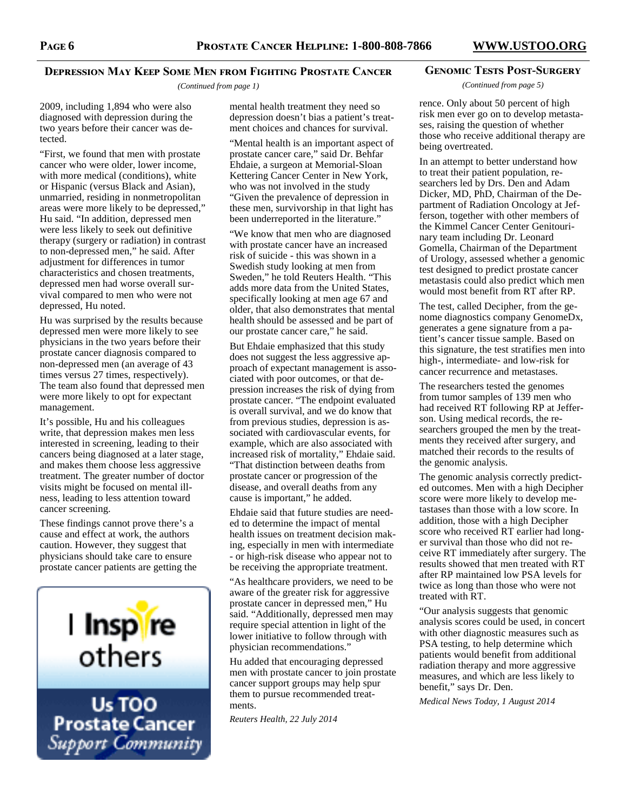# **DEPRESSION MAY KEEP SOME MEN FROM FIGHTING PROSTATE CANCER**

*(Continued from page 1)* 

2009, including 1,894 who were also diagnosed with depression during the two years before their cancer was detected.

"First, we found that men with prostate cancer who were older, lower income, with more medical (conditions), white or Hispanic (versus Black and Asian), unmarried, residing in nonmetropolitan areas were more likely to be depressed," Hu said. "In addition, depressed men were less likely to seek out definitive therapy (surgery or radiation) in contrast to non-depressed men," he said. After adjustment for differences in tumor characteristics and chosen treatments, depressed men had worse overall survival compared to men who were not depressed, Hu noted.

Hu was surprised by the results because depressed men were more likely to see physicians in the two years before their prostate cancer diagnosis compared to non-depressed men (an average of 43 times versus 27 times, respectively). The team also found that depressed men were more likely to opt for expectant management.

It's possible, Hu and his colleagues write, that depression makes men less interested in screening, leading to their cancers being diagnosed at a later stage, and makes them choose less aggressive treatment. The greater number of doctor visits might be focused on mental illness, leading to less attention toward cancer screening.

These findings cannot prove there's a cause and effect at work, the authors caution. However, they suggest that physicians should take care to ensure prostate cancer patients are getting the



Us TOO<br>Prostate Cancer Support Community mental health treatment they need so depression doesn't bias a patient's treatment choices and chances for survival.

"Mental health is an important aspect of prostate cancer care," said Dr. Behfar Ehdaie, a surgeon at Memorial-Sloan Kettering Cancer Center in New York, who was not involved in the study "Given the prevalence of depression in these men, survivorship in that light has been underreported in the literature."

"We know that men who are diagnosed with prostate cancer have an increased risk of suicide - this was shown in a Swedish study looking at men from Sweden," he told Reuters Health. "This adds more data from the United States, specifically looking at men age 67 and older, that also demonstrates that mental health should be assessed and be part of our prostate cancer care," he said.

But Ehdaie emphasized that this study does not suggest the less aggressive approach of expectant management is associated with poor outcomes, or that depression increases the risk of dying from prostate cancer. "The endpoint evaluated is overall survival, and we do know that from previous studies, depression is associated with cardiovascular events, for example, which are also associated with increased risk of mortality," Ehdaie said. "That distinction between deaths from prostate cancer or progression of the disease, and overall deaths from any cause is important," he added.

Ehdaie said that future studies are needed to determine the impact of mental health issues on treatment decision making, especially in men with intermediate - or high-risk disease who appear not to be receiving the appropriate treatment.

"As healthcare providers, we need to be aware of the greater risk for aggressive prostate cancer in depressed men," Hu said. "Additionally, depressed men may require special attention in light of the lower initiative to follow through with physician recommendations."

Hu added that encouraging depressed men with prostate cancer to join prostate cancer support groups may help spur them to pursue recommended treatments.

*Reuters Health, 22 July 2014* 

## **GENOMIC TESTS POST-SURGERY**

*(Continued from page 5)* 

rence. Only about 50 percent of high risk men ever go on to develop metastases, raising the question of whether those who receive additional therapy are being overtreated.

In an attempt to better understand how to treat their patient population, researchers led by Drs. Den and Adam Dicker, MD, PhD, Chairman of the Department of Radiation Oncology at Jefferson, together with other members of the Kimmel Cancer Center Genitourinary team including Dr. Leonard Gomella, Chairman of the Department of Urology, assessed whether a genomic test designed to predict prostate cancer metastasis could also predict which men would most benefit from RT after RP.

The test, called Decipher, from the genome diagnostics company GenomeDx, generates a gene signature from a patient's cancer tissue sample. Based on this signature, the test stratifies men into high-, intermediate- and low-risk for cancer recurrence and metastases.

The researchers tested the genomes from tumor samples of 139 men who had received RT following RP at Jefferson. Using medical records, the researchers grouped the men by the treatments they received after surgery, and matched their records to the results of the genomic analysis.

The genomic analysis correctly predicted outcomes. Men with a high Decipher score were more likely to develop metastases than those with a low score. In addition, those with a high Decipher score who received RT earlier had longer survival than those who did not receive RT immediately after surgery. The results showed that men treated with RT after RP maintained low PSA levels for twice as long than those who were not treated with RT.

"Our analysis suggests that genomic analysis scores could be used, in concert with other diagnostic measures such as PSA testing, to help determine which patients would benefit from additional radiation therapy and more aggressive measures, and which are less likely to benefit," says Dr. Den.

*Medical News Today, 1 August 2014*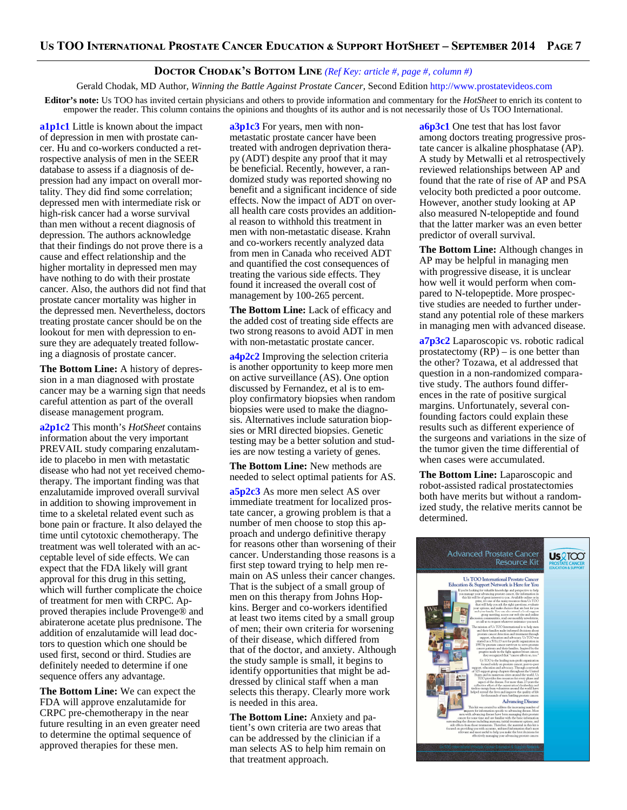## **DOCTOR CHODAK'S BOTTOM LINE** (Ref Key: article #, page #, column #)

Gerald Chodak, MD Author, *Winning the Battle Against Prostate Cancer*, Second Edition http://www.prostatevideos.com

**Editor's note:** Us TOO has invited certain physicians and others to provide information and commentary for the *HotSheet* to enrich its content to empower the reader. This column contains the opinions and thoughts of its author and is not necessarily those of Us TOO International.

**a1p1c1** Little is known about the impact of depression in men with prostate cancer. Hu and co-workers conducted a retrospective analysis of men in the SEER database to assess if a diagnosis of depression had any impact on overall mortality. They did find some correlation; depressed men with intermediate risk or high-risk cancer had a worse survival than men without a recent diagnosis of depression. The authors acknowledge that their findings do not prove there is a cause and effect relationship and the higher mortality in depressed men may have nothing to do with their prostate cancer. Also, the authors did not find that prostate cancer mortality was higher in the depressed men. Nevertheless, doctors treating prostate cancer should be on the lookout for men with depression to ensure they are adequately treated following a diagnosis of prostate cancer.

**The Bottom Line:** A history of depression in a man diagnosed with prostate cancer may be a warning sign that needs careful attention as part of the overall disease management program.

**a2p1c2** This month's *HotSheet* contains information about the very important PREVAIL study comparing enzalutamide to placebo in men with metastatic disease who had not yet received chemotherapy. The important finding was that enzalutamide improved overall survival in addition to showing improvement in time to a skeletal related event such as bone pain or fracture. It also delayed the time until cytotoxic chemotherapy. The treatment was well tolerated with an acceptable level of side effects. We can expect that the FDA likely will grant approval for this drug in this setting, which will further complicate the choice of treatment for men with CRPC. Approved therapies include Provenge® and abiraterone acetate plus prednisone. The addition of enzalutamide will lead doctors to question which one should be used first, second or third. Studies are definitely needed to determine if one sequence offers any advantage.

**The Bottom Line:** We can expect the FDA will approve enzalutamide for CRPC pre-chemotherapy in the near future resulting in an even greater need to determine the optimal sequence of approved therapies for these men.

**a3p1c3** For years, men with nonmetastatic prostate cancer have been treated with androgen deprivation therapy (ADT) despite any proof that it may be beneficial. Recently, however, a randomized study was reported showing no benefit and a significant incidence of side effects. Now the impact of ADT on overall health care costs provides an additional reason to withhold this treatment in men with non-metastatic disease. Krahn and co-workers recently analyzed data from men in Canada who received ADT and quantified the cost consequences of treating the various side effects. They found it increased the overall cost of management by 100-265 percent.

**The Bottom Line:** Lack of efficacy and the added cost of treating side effects are two strong reasons to avoid ADT in men with non-metastatic prostate cancer.

**a4p2c2** Improving the selection criteria is another opportunity to keep more men on active surveillance (AS). One option discussed by Fernandez, et al is to employ confirmatory biopsies when random biopsies were used to make the diagnosis. Alternatives include saturation biopsies or MRI directed biopsies. Genetic testing may be a better solution and studies are now testing a variety of genes.

**The Bottom Line:** New methods are needed to select optimal patients for AS.

**a5p2c3** As more men select AS over immediate treatment for localized prostate cancer, a growing problem is that a number of men choose to stop this approach and undergo definitive therapy for reasons other than worsening of their cancer. Understanding those reasons is a first step toward trying to help men remain on AS unless their cancer changes. That is the subject of a small group of men on this therapy from Johns Hopkins. Berger and co-workers identified at least two items cited by a small group of men; their own criteria for worsening of their disease, which differed from that of the doctor, and anxiety. Although the study sample is small, it begins to identify opportunities that might be addressed by clinical staff when a man selects this therapy. Clearly more work is needed in this area.

**The Bottom Line:** Anxiety and patient's own criteria are two areas that can be addressed by the clinician if a man selects AS to help him remain on that treatment approach.

**a6p3c1** One test that has lost favor among doctors treating progressive prostate cancer is alkaline phosphatase (AP). A study by Metwalli et al retrospectively reviewed relationships between AP and found that the rate of rise of AP and PSA velocity both predicted a poor outcome. However, another study looking at AP also measured N-telopeptide and found that the latter marker was an even better predictor of overall survival.

**The Bottom Line:** Although changes in AP may be helpful in managing men with progressive disease, it is unclear how well it would perform when compared to N-telopeptide. More prospective studies are needed to further understand any potential role of these markers in managing men with advanced disease.

**a7p3c2** Laparoscopic vs. robotic radical prostatectomy  $(RP)$  – is one better than the other? Tozawa, et al addressed that question in a non-randomized comparative study. The authors found differences in the rate of positive surgical margins. Unfortunately, several confounding factors could explain these results such as different experience of the surgeons and variations in the size of the tumor given the time differential of when cases were accumulated.

**The Bottom Line:** Laparoscopic and robot-assisted radical prostatectomies both have merits but without a randomized study, the relative merits cannot be determined.